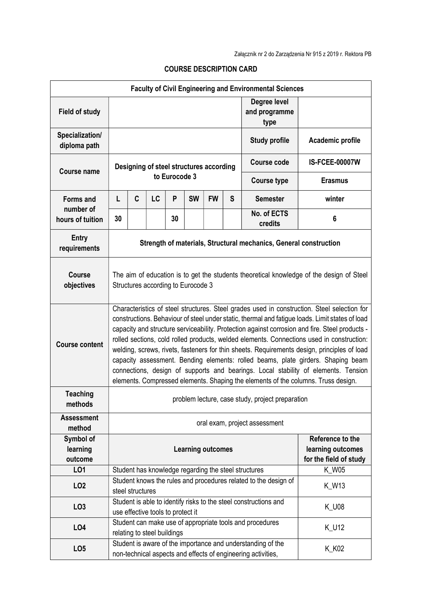| <b>Faculty of Civil Engineering and Environmental Sciences</b> |                                                                                                                                                                                                                                                                                                                                                                                                                                                                                                                                                                                                                                                                                                                                                             |                  |                                   |    |           |           |   |                                                                                                                             |                       |  |  |
|----------------------------------------------------------------|-------------------------------------------------------------------------------------------------------------------------------------------------------------------------------------------------------------------------------------------------------------------------------------------------------------------------------------------------------------------------------------------------------------------------------------------------------------------------------------------------------------------------------------------------------------------------------------------------------------------------------------------------------------------------------------------------------------------------------------------------------------|------------------|-----------------------------------|----|-----------|-----------|---|-----------------------------------------------------------------------------------------------------------------------------|-----------------------|--|--|
| <b>Field of study</b>                                          |                                                                                                                                                                                                                                                                                                                                                                                                                                                                                                                                                                                                                                                                                                                                                             |                  |                                   |    |           |           |   | Degree level<br>and programme<br>type                                                                                       |                       |  |  |
| Specialization/<br>diploma path                                |                                                                                                                                                                                                                                                                                                                                                                                                                                                                                                                                                                                                                                                                                                                                                             |                  |                                   |    |           |           |   | <b>Study profile</b>                                                                                                        | Academic profile      |  |  |
| Course name                                                    | Designing of steel structures according<br>to Eurocode 3                                                                                                                                                                                                                                                                                                                                                                                                                                                                                                                                                                                                                                                                                                    |                  |                                   |    |           |           |   | <b>Course code</b>                                                                                                          | <b>IS-FCEE-00007W</b> |  |  |
|                                                                |                                                                                                                                                                                                                                                                                                                                                                                                                                                                                                                                                                                                                                                                                                                                                             |                  |                                   |    |           |           |   | <b>Course type</b>                                                                                                          | <b>Erasmus</b>        |  |  |
| <b>Forms and</b>                                               | L                                                                                                                                                                                                                                                                                                                                                                                                                                                                                                                                                                                                                                                                                                                                                           | C                | LC                                | P  | <b>SW</b> | <b>FW</b> | S | <b>Semester</b>                                                                                                             | winter                |  |  |
| number of<br>hours of tuition                                  | 30                                                                                                                                                                                                                                                                                                                                                                                                                                                                                                                                                                                                                                                                                                                                                          |                  |                                   | 30 |           |           |   | No. of ECTS<br>credits                                                                                                      | 6                     |  |  |
| <b>Entry</b><br>requirements                                   | Strength of materials, Structural mechanics, General construction                                                                                                                                                                                                                                                                                                                                                                                                                                                                                                                                                                                                                                                                                           |                  |                                   |    |           |           |   |                                                                                                                             |                       |  |  |
| <b>Course</b><br>objectives                                    | The aim of education is to get the students theoretical knowledge of the design of Steel<br>Structures according to Eurocode 3                                                                                                                                                                                                                                                                                                                                                                                                                                                                                                                                                                                                                              |                  |                                   |    |           |           |   |                                                                                                                             |                       |  |  |
| <b>Course content</b>                                          | Characteristics of steel structures. Steel grades used in construction. Steel selection for<br>constructions. Behaviour of steel under static, thermal and fatigue loads. Limit states of load<br>capacity and structure serviceability. Protection against corrosion and fire. Steel products -<br>rolled sections, cold rolled products, welded elements. Connections used in construction:<br>welding, screws, rivets, fasteners for thin sheets. Requirements design, principles of load<br>capacity assessment. Bending elements: rolled beams, plate girders. Shaping beam<br>connections, design of supports and bearings. Local stability of elements. Tension<br>elements. Compressed elements. Shaping the elements of the columns. Truss design. |                  |                                   |    |           |           |   |                                                                                                                             |                       |  |  |
| <b>Teaching</b><br>methods                                     | problem lecture, case study, project preparation                                                                                                                                                                                                                                                                                                                                                                                                                                                                                                                                                                                                                                                                                                            |                  |                                   |    |           |           |   |                                                                                                                             |                       |  |  |
| <b>Assessment</b><br>method                                    | oral exam, project assessment                                                                                                                                                                                                                                                                                                                                                                                                                                                                                                                                                                                                                                                                                                                               |                  |                                   |    |           |           |   |                                                                                                                             |                       |  |  |
| Symbol of<br>learning<br>outcome                               | <b>Learning outcomes</b>                                                                                                                                                                                                                                                                                                                                                                                                                                                                                                                                                                                                                                                                                                                                    |                  |                                   |    |           |           |   | Reference to the<br>learning outcomes<br>for the field of study                                                             |                       |  |  |
| LO1                                                            | Student has knowledge regarding the steel structures<br><b>K_W05</b>                                                                                                                                                                                                                                                                                                                                                                                                                                                                                                                                                                                                                                                                                        |                  |                                   |    |           |           |   |                                                                                                                             |                       |  |  |
| LO <sub>2</sub>                                                |                                                                                                                                                                                                                                                                                                                                                                                                                                                                                                                                                                                                                                                                                                                                                             | steel structures |                                   |    |           |           |   | Student knows the rules and procedures related to the design of                                                             | <b>K_W13</b>          |  |  |
| LO <sub>3</sub>                                                |                                                                                                                                                                                                                                                                                                                                                                                                                                                                                                                                                                                                                                                                                                                                                             |                  | use effective tools to protect it |    |           |           |   | Student is able to identify risks to the steel constructions and                                                            | <b>K_U08</b>          |  |  |
| LO <sub>4</sub>                                                |                                                                                                                                                                                                                                                                                                                                                                                                                                                                                                                                                                                                                                                                                                                                                             |                  | relating to steel buildings       |    |           |           |   | Student can make use of appropriate tools and procedures                                                                    | K_U12                 |  |  |
| LO <sub>5</sub>                                                |                                                                                                                                                                                                                                                                                                                                                                                                                                                                                                                                                                                                                                                                                                                                                             |                  |                                   |    |           |           |   | Student is aware of the importance and understanding of the<br>non-technical aspects and effects of engineering activities, | K_K02                 |  |  |

## COURSE DESCRIPTION CARD